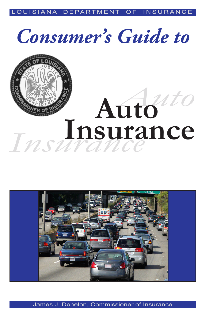LOUISIANA DEPARTMENT OF INSURANCE

## *Consumer's Guide to*



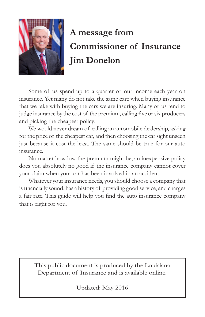

## **A message from Commissioner of Insurance Jim Donelon**

Some of us spend up to a quarter of our income each year on insurance. Yet many do not take the same care when buying insurance that we take with buying the cars we are insuring. Many of us tend to judge insurance by the cost of the premium, calling five or six producers and picking the cheapest policy.

We would never dream of calling an automobile dealership, asking for the price of the cheapest car, and then choosing the car sight unseen just because it cost the least. The same should be true for our auto insurance.

No matter how low the premium might be, an inexpensive policy does you absolutely no good if the insurance company cannot cover your claim when your car has been involved in an accident.

Whatever your insurance needs, you should choose a company that is financially sound, has a history of providing good service, and charges a fair rate. This guide will help you find the auto insurance company that is right for you.

This public document is produced by the Louisiana Department of Insurance and is available online.

Updated: May 2016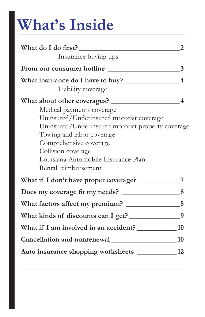# **What's Inside**

| What do I do first?                                   | 2              |
|-------------------------------------------------------|----------------|
| Insurance buying tips                                 |                |
| From our consumer hotline                             | $\overline{3}$ |
|                                                       |                |
| Liability coverage                                    |                |
|                                                       |                |
| Medical payments coverage                             |                |
| Uninsured/Underinsured motorist coverage              |                |
| Uninsured/Underinsured motorist property coverage     |                |
| Towing and labor coverage                             |                |
| Comprehensive coverage                                |                |
| Collision coverage                                    |                |
| Louisiana Automobile Insurance Plan                   |                |
| Rental reimbursement                                  |                |
|                                                       |                |
|                                                       |                |
|                                                       |                |
|                                                       |                |
| What kinds of discounts can I get? _________________9 |                |
| What if I am involved in an accident? ____________ 10 |                |
|                                                       |                |
| Auto insurance shopping worksheets ___________ 12     |                |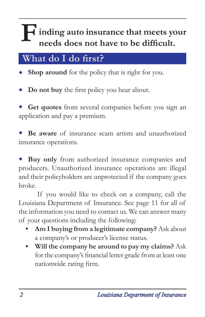# **inding auto insurance that meets your** needs does not have to be difficult.

## **What do I do first?**

**Shop around** for the policy that is right for you. ٠

**Do not buy** the first policy you hear about.

**Get quotes** from several companies before you sign an application and pay a premium.

**Be aware** of insurance scam artists and unauthorized insurance operations.

**Buy only** from authorized insurance companies and producers. Unauthorized insurance operations are illegal and their policyholders are unprotected if the company goes broke. ٠

If you would like to check on a company, call the Louisiana Department of Insurance. See page 11 for all of the information you need to contact us. We can answer many of your questions including the following:

- **• Am I buying from a legitimate company?** Ask about a company's or producer's license status.
- **• Will the company be around to pay my claims?** Ask for the company's financial letter grade from at least one nationwide rating firm.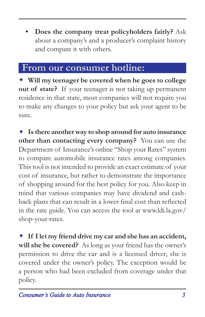**• Does the company treat policyholders fairly?** Ask about a company's and a producer's complaint history and compare it with others.

#### **From our consumer hotline:**

**Will my teenager be covered when he goes to college out of state?** If your teenager is not taking up permanent residence in that state, most companies will not require you to make any changes to your policy but ask your agent to be sure.

**Is there another way to shop around for auto insurance other than contacting every company?** You can use the Department of Insurance's online "Shop your Rates" system to compare automobile insurance rates among companies. This tool is not intended to provide an exact estimate of your cost of insurance, but rather to demonstrate the importance of shopping around for the best policy for you. Also keep in mind that various companies may have dividend and cashback plans that can result in a lower final cost than reflected in the rate guide. You can access the tool at [www.ldi.la.gov/](http://www.ldi.la.gov/shop-your-rates) [shop-your-rates](http://www.ldi.la.gov/shop-your-rates).

**If I let my friend drive my car and she has an accident, will she be covered?** As long as your friend has the owner's permission to drive the car and is a licensed driver, she is covered under the owner's policy. The exception would be a person who had been excluded from coverage under that policy.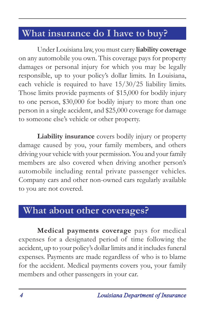## **What insurance do I have to buy?**

Under Louisiana law, you must carry **liability coverage** on any automobile you own. This coverage pays for property damages or personal injury for which you may be legally responsible, up to your policy's dollar limits. In Louisiana, each vehicle is required to have 15/30/25 liability limits. Those limits provide payments of \$15,000 for bodily injury to one person, \$30,000 for bodily injury to more than one person in a single accident, and \$25,000 coverage for damage to someone else's vehicle or other property.

**Liability insurance** covers bodily injury or property damage caused by you, your family members, and others driving your vehicle with your permission. You and your family members are also covered when driving another person's automobile including rental private passenger vehicles. Company cars and other non-owned cars regularly available to you are not covered.

## **What about other coverages?**

**Medical payments coverage** pays for medical expenses for a designated period of time following the accident, up to your policy's dollar limits and it includes funeral expenses. Payments are made regardless of who is to blame for the accident. Medical payments covers you, your family members and other passengers in your car.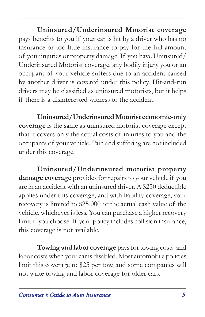**Uninsured/Underinsured Motorist coverage**  pays benefits to you if your car is hit by a driver who has no insurance or too little insurance to pay for the full amount of your injuries or property damage. If you have Uninsured/ Underinsured Motorist coverage, any bodily injury you or an occupant of your vehicle suffers due to an accident caused by another driver is covered under this policy. Hit-and-run drivers may be classified as uninsured motorists, but it helps if there is a disinterested witness to the accident.

**Uninsured/Underinsured Motorist economic-only coverage** is the same as uninsured motorist coverage except that it covers only the actual costs of injuries to you and the occupants of your vehicle. Pain and suffering are not included under this coverage.

**Uninsured/Underinsured motorist property damage coverage** provides for repairs to your vehicle if you are in an accident with an uninsured driver. A \$250 deductible applies under this coverage, and with liability coverage, your recovery is limited to \$25,000 or the actual cash value of the vehicle, whichever is less. You can purchase a higher recovery limit if you choose. If your policy includes collision insurance, this coverage is not available.

**Towing and labor coverage** pays for towing costs and labor costs when your car is disabled. Most automobile policies limit this coverage to \$25 per tow, and some companies will not write towing and labor coverage for older cars.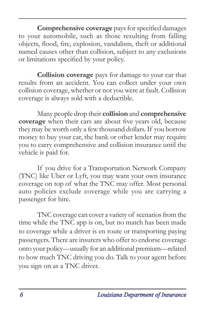**Comprehensive coverage** pays for specified damages to your automobile, such as those resulting from falling objects, flood, fire, explosion, vandalism, theft or additional named causes other than collision, subject to any exclusions or limitations specified by your policy.

**Collision coverage** pays for damage to your car that results from an accident. You can collect under your own collision coverage, whether or not you were at fault. Collision coverage is always sold with a deductible.

Many people drop their **collision** and **comprehensive coverage** when their cars are about five years old, because they may be worth only a few thousand dollars. If you borrow money to buy your car, the bank or other lender may require you to carry comprehensive and collision insurance until the vehicle is paid for.

If you drive for a Transportation Network Company (TNC) like Uber or Lyft, you may want your own insurance coverage on top of what the TNC may offer. Most personal auto policies exclude coverage while you are carrying a passenger for hire.

TNC coverage can cover a variety of scenarios from the time while the TNC app is on, but no match has been made to coverage while a driver is en route or transporting paying passengers. There are insurers who offer to endorse coverage onto your policy—usually for an additional premium—related to how much TNC driving you do. Talk to your agent before you sign on as a TNC driver.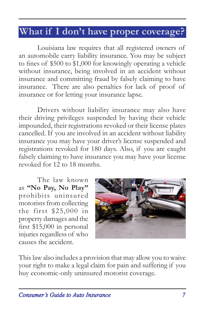### **What if I don't have proper coverage?**

Louisiana law requires that all registered owners of an automobile carry liability insurance. You may be subject to fines of \$500 to \$1,000 for knowingly operating a vehicle without insurance, being involved in an accident without insurance and committing fraud by falsely claiming to have insurance. There are also penalties for lack of proof of insurance or for letting your insurance lapse.

Drivers without liability insurance may also have their driving privileges suspended by having their vehicle impounded, their registrations revoked or their license plates cancelled. If you are involved in an accident without liability insurance you may have your driver's license suspended and registrations revoked for 180 days. Also, if you are caught falsely claiming to have insurance you may have your license revoked for 12 to 18 months.

The law known as **"No Pay, No Play"** prohibits uninsured motorists from collecting the first \$25,000 in property damages and the first \$15,000 in personal injuries regardless of who causes the accident.



This law also includes a provision that may allow you to waive your right to make a legal claim for pain and suffering if you buy economic-only uninsured motorist coverage.

*Consumer's Guide to Auto Insurance 7*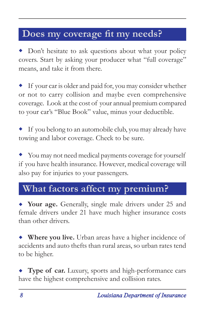## **Does my coverage fit my needs?**

Don't hesitate to ask questions about what your policy covers. Start by asking your producer what "full coverage" means, and take it from there.

If your car is older and paid for, you may consider whether or not to carry collision and maybe even comprehensive coverage. Look at the cost of your annual premium compared to your car's "Blue Book" value, minus your deductible. ٠

If you belong to an automobile club, you may already have towing and labor coverage. Check to be sure. ٠

You may not need medical payments coverage for yourself if you have health insurance. However, medical coverage will also pay for injuries to your passengers.

## **What factors affect my premium?**

**Your age.** Generally, single male drivers under 25 and female drivers under 21 have much higher insurance costs than other drivers.

**Where you live.** Urban areas have a higher incidence of accidents and auto thefts than rural areas, so urban rates tend to be higher.

**Type of car.** Luxury, sports and high-performance cars have the highest comprehensive and collision rates.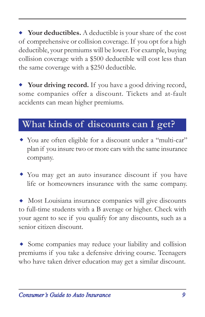**Your deductibles.** A deductible is your share of the cost of comprehensive or collision coverage. If you opt for a high deductible, your premiums will be lower. For example, buying collision coverage with a \$500 deductible will cost less than the same coverage with a \$250 deductible.

**Your driving record.** If you have a good driving record, some companies offer a discount. Tickets and at-fault accidents can mean higher premiums.

## **What kinds of discounts can I get?**

- You are often eligible for a discount under a "multi-car" plan if you insure two or more cars with the same insurance company.
- You may get an auto insurance discount if you have life or homeowners insurance with the same company.

Most Louisiana insurance companies will give discounts to full-time students with a B average or higher. Check with your agent to see if you qualify for any discounts, such as a senior citizen discount.

Some companies may reduce your liability and collision premiums if you take a defensive driving course. Teenagers who have taken driver education may get a similar discount.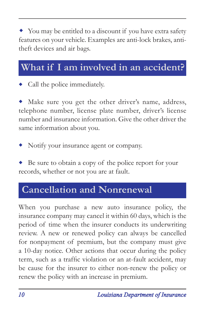You may be entitled to a discount if you have extra safety features on your vehicle. Examples are anti-lock brakes, antitheft devices and air bags.

## **What if I am involved in an accident?**

Call the police immediately.

Make sure you get the other driver's name, address, telephone number, license plate number, driver's license number and insurance information. Give the other driver the same information about you.

Notify your insurance agent or company.

Be sure to obtain a copy of the police report for your records, whether or not you are at fault.

## **Cancellation and Nonrenewal**

When you purchase a new auto insurance policy, the insurance company may cancel it within 60 days, which is the period of time when the insurer conducts its underwriting review. A new or renewed policy can always be cancelled for nonpayment of premium, but the company must give a 10-day notice. Other actions that occur during the policy term, such as a traffic violation or an at-fault accident, may be cause for the insurer to either non-renew the policy or renew the policy with an increase in premium.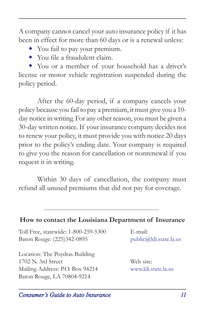A company cannot cancel your auto insurance policy if it has been in effect for more than 60 days or is a renewal unless:

- You fail to pay your premium.
- You file a fraudulent claim.

 You or a member of your household has a driver's license or motor vehicle registration suspended during the policy period.

After the 60-day period, if a company cancels your policy because you fail to pay a premium, it must give you a 10 day notice in writing. For any other reason, you must be given a 30-day written notice. If your insurance company decides not to renew your policy, it must provide you with notice 20 days prior to the policy's ending date. Your company is required to give you the reason for cancellation or nonrenewal if you request it in writing.

Within 30 days of cancellation, the company must refund all unused premiums that did not pay for coverage.

#### **How to contact the Louisiana Department of Insurance**

Toll Free, statewide: 1-800-259-5300 E-mail: Baton Rouge: (225)342-0895 public@ldi.state.la.us

Location: The Poydras Building 1702 N. 3rd Street Web site: Mailing Address: P.O. Box 94214 www.ldi.state.la.us Baton Rouge, LA 70804-9214

*Consumer's Guide to Auto Insurance 11*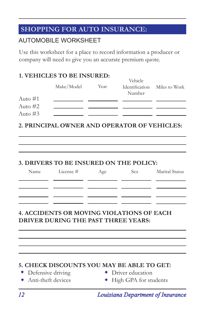#### **SHOPPING FOR AUTO INSURANCE:**

#### AUTOMOBILE WORKSHEET

Use this worksheet for a place to record information a producer or company will need to give you an accurate premium quote.

#### **1. VEHICLES TO BE INSURED:**

|           |            |      | <u>velhele</u>        |               |
|-----------|------------|------|-----------------------|---------------|
|           | Make/Model | Year | <b>Identification</b> | Miles to Work |
|           |            |      | Number                |               |
| Auto $#1$ |            |      |                       |               |
| Auto $#2$ |            |      |                       |               |
| Auto $#3$ |            |      |                       |               |
|           |            |      |                       |               |

 $V_{\alpha}$ kiele

**2. PRINCIPAL OWNER AND OPERATOR OF VEHICLES:**

#### **3. DRIVERS TO BE INSURED ON THE POLICY:**

| Name | License # | Age | Sex | Marital Status |
|------|-----------|-----|-----|----------------|
|      |           |     |     |                |
|      |           |     |     |                |
|      |           |     |     |                |

#### **4. ACCIDENTS OR MOVING VIOLATIONS OF EACH DRIVER DURING THE PAST THREE YEARS:**

#### **5. CHECK DISCOUNTS YOU MAY BE ABLE TO GET:**

- $\bullet$  Defensive driving
- $\leftrightarrow$  Anti-theft devices
- Defensive driving  $\bullet$  Driver education
- Anti-theft devices  $\longrightarrow$  High GPA for students

*12 Louisiana Department of Insurance*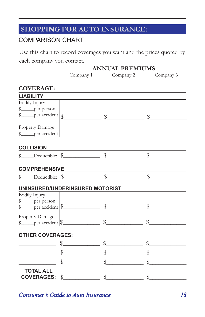#### **SHOPPING FOR AUTO INSURANCE:**

#### COMPARISON CHART

Use this chart to record coverages you want and the prices quoted by each company you contact.

**ANNUAL PREMIUMS**

|                                                                                                                |                                                                                                                                                                                                                                                                                                                     | THAT CITY I REINICINIO        |               |
|----------------------------------------------------------------------------------------------------------------|---------------------------------------------------------------------------------------------------------------------------------------------------------------------------------------------------------------------------------------------------------------------------------------------------------------------|-------------------------------|---------------|
|                                                                                                                |                                                                                                                                                                                                                                                                                                                     | Company 1 Company 2 Company 3 |               |
| <b>COVERAGE:</b>                                                                                               |                                                                                                                                                                                                                                                                                                                     |                               |               |
| <b>LIABILITY</b>                                                                                               |                                                                                                                                                                                                                                                                                                                     |                               |               |
| Bodily Injury                                                                                                  |                                                                                                                                                                                                                                                                                                                     |                               |               |
| $\frac{1}{2}$ per person                                                                                       |                                                                                                                                                                                                                                                                                                                     |                               |               |
|                                                                                                                |                                                                                                                                                                                                                                                                                                                     |                               |               |
|                                                                                                                |                                                                                                                                                                                                                                                                                                                     |                               |               |
| Property Damage                                                                                                |                                                                                                                                                                                                                                                                                                                     |                               |               |
| \$_____per accident                                                                                            |                                                                                                                                                                                                                                                                                                                     |                               |               |
|                                                                                                                |                                                                                                                                                                                                                                                                                                                     |                               |               |
| <b>COLLISION</b>                                                                                               |                                                                                                                                                                                                                                                                                                                     |                               |               |
| $\frac{1}{2}$ Deductible: $\frac{1}{2}$ $\frac{1}{2}$ $\frac{1}{2}$                                            |                                                                                                                                                                                                                                                                                                                     |                               | $\frac{1}{2}$ |
|                                                                                                                |                                                                                                                                                                                                                                                                                                                     |                               |               |
|                                                                                                                |                                                                                                                                                                                                                                                                                                                     |                               |               |
| <u>COMPREHENSIVE<br/>\$</u> Deductible: \$ \$ \$ \$ \$ \$                                                      |                                                                                                                                                                                                                                                                                                                     |                               |               |
|                                                                                                                |                                                                                                                                                                                                                                                                                                                     |                               |               |
| UNINSURED/UNDERINSURED MOTORIST                                                                                |                                                                                                                                                                                                                                                                                                                     |                               |               |
| <b>Bodily Injury</b>                                                                                           |                                                                                                                                                                                                                                                                                                                     |                               |               |
|                                                                                                                |                                                                                                                                                                                                                                                                                                                     |                               |               |
|                                                                                                                |                                                                                                                                                                                                                                                                                                                     |                               |               |
| Property Damage                                                                                                |                                                                                                                                                                                                                                                                                                                     |                               |               |
| $\frac{\text{?}}{\text{?}}$ per accident $\frac{\text{?}}{\text{?}}$ $\frac{\text{?}}{\text{?}}$               |                                                                                                                                                                                                                                                                                                                     |                               |               |
|                                                                                                                |                                                                                                                                                                                                                                                                                                                     |                               |               |
| OTHER COVERAGES: Network and the state of the state of the state of the state of the state of the state of the |                                                                                                                                                                                                                                                                                                                     |                               |               |
|                                                                                                                | $\frac{1}{2}$ $\frac{1}{2}$ $\frac{1}{2}$ $\frac{1}{2}$ $\frac{1}{2}$ $\frac{1}{2}$ $\frac{1}{2}$ $\frac{1}{2}$ $\frac{1}{2}$ $\frac{1}{2}$ $\frac{1}{2}$ $\frac{1}{2}$ $\frac{1}{2}$ $\frac{1}{2}$ $\frac{1}{2}$ $\frac{1}{2}$ $\frac{1}{2}$ $\frac{1}{2}$ $\frac{1}{2}$ $\frac{1}{2}$ $\frac{1}{2}$ $\frac{1}{2}$ |                               |               |
|                                                                                                                |                                                                                                                                                                                                                                                                                                                     |                               |               |
|                                                                                                                | $\frac{1}{2}$ $\frac{1}{2}$ $\frac{1}{2}$ $\frac{1}{2}$ $\frac{1}{2}$ $\frac{1}{2}$ $\frac{1}{2}$ $\frac{1}{2}$ $\frac{1}{2}$ $\frac{1}{2}$ $\frac{1}{2}$ $\frac{1}{2}$ $\frac{1}{2}$ $\frac{1}{2}$ $\frac{1}{2}$ $\frac{1}{2}$ $\frac{1}{2}$ $\frac{1}{2}$ $\frac{1}{2}$ $\frac{1}{2}$ $\frac{1}{2}$ $\frac{1}{2}$ |                               |               |
|                                                                                                                |                                                                                                                                                                                                                                                                                                                     |                               |               |
|                                                                                                                |                                                                                                                                                                                                                                                                                                                     |                               |               |
| <b>TOTAL ALL</b>                                                                                               |                                                                                                                                                                                                                                                                                                                     |                               |               |
| <b>COVERAGES:</b>                                                                                              | $\frac{1}{2}$ $\frac{1}{2}$ $\frac{1}{2}$ $\frac{1}{2}$ $\frac{1}{2}$ $\frac{1}{2}$ $\frac{1}{2}$ $\frac{1}{2}$ $\frac{1}{2}$ $\frac{1}{2}$ $\frac{1}{2}$ $\frac{1}{2}$ $\frac{1}{2}$ $\frac{1}{2}$ $\frac{1}{2}$ $\frac{1}{2}$ $\frac{1}{2}$ $\frac{1}{2}$ $\frac{1}{2}$ $\frac{1}{2}$ $\frac{1}{2}$ $\frac{1}{2}$ |                               | $\frac{1}{2}$ |

*Consumer's Guide to Auto Insurance 13*